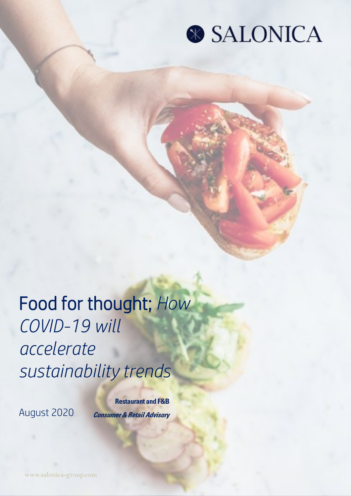

### Food for thought; *How COVID-19 will accelerate sustainability trends*

August 2020

**Restaurant and F&B Consumer & Retail Advisory**

www.salonica-group.com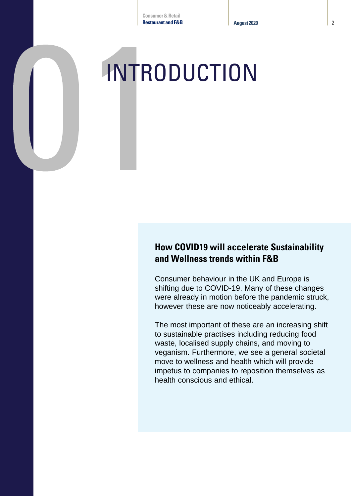# **INTRODUCTION**

#### **How COVID19 will accelerate Sustainability and Wellness trends within F&B**

Consumer behaviour in the UK and Europe is shifting due to COVID-19. Many of these changes were already in motion before the pandemic struck, however these are now noticeably accelerating.

The most important of these are an increasing shift to sustainable practises including reducing food waste, localised supply chains, and moving to veganism. Furthermore, we see a general societal move to wellness and health which will provide impetus to companies to reposition themselves as health conscious and ethical.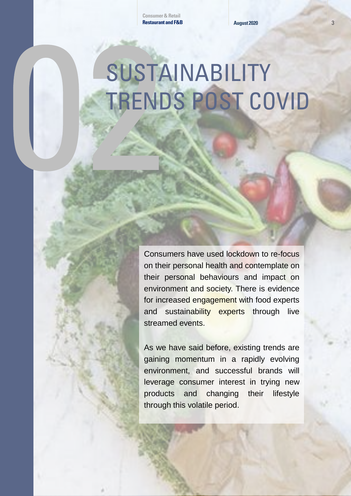# SUSTAINABILITY TRENDS POST COVID

Consumers have used lockdown to re-focus on their personal health and contemplate on their personal behaviours and impact on environment and society. There is evidence for increased engagement with food experts and sustainability experts through live streamed events.

As we have said before, existing trends are gaining momentum in a rapidly evolving environment, and successful brands will leverage consumer interest in trying new products and changing their lifestyle through this volatile period.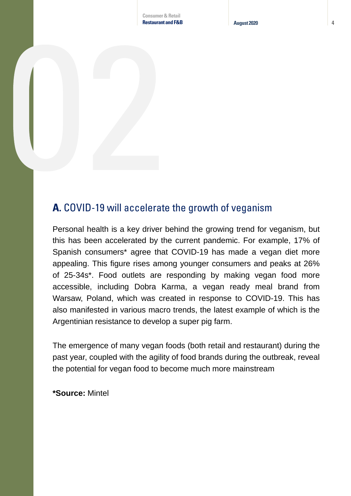**Consumer & Retail Restaurant and F&B August 2020** 4

### **A.** COVID-19 will accelerate the growth of veganism

Personal health is a key driver behind the growing trend for veganism, but this has been accelerated by the current pandemic. For example, 17% of Spanish consumers\* agree that COVID-19 has made a vegan diet more appealing. This figure rises among younger consumers and peaks at 26% of 25-34s\*. Food outlets are responding by making vegan food more accessible, including Dobra Karma, a vegan ready meal brand from Warsaw, Poland, which was created in response to COVID-19. This has also manifested in various macro trends, the latest example of which is the Argentinian resistance to develop a super pig farm.

The emergence of many vegan foods (both retail and restaurant) during the past year, coupled with the agility of food brands during the outbreak, reveal the potential for vegan food to become much more mainstream

**\*Source:** Mintel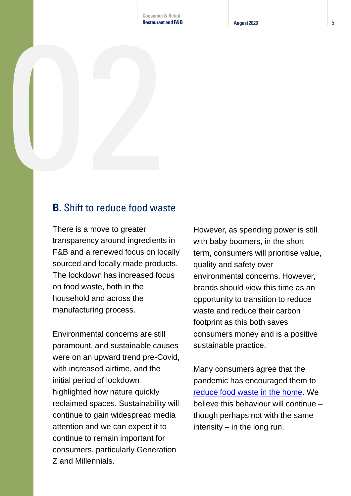### **B.** Shift to reduce food waste

There is a move to greater transparency around ingredients in F&B and a renewed focus on locally sourced and locally made products. The lockdown has increased focus on food waste, both in the household and across the manufacturing process.

Environmental concerns are still paramount, and sustainable causes were on an upward trend pre-Covid, with increased airtime, and the initial period of lockdown highlighted how nature quickly reclaimed spaces. Sustainability will continue to gain widespread media attention and we can expect it to continue to remain important for consumers, particularly Generation Z and Millennials.

However, as spending power is still with baby boomers, in the short term, consumers will prioritise value, quality and safety over environmental concerns. However, brands should view this time as an opportunity to transition to reduce waste and reduce their carbon footprint as this both saves consumers money and is a positive sustainable practice.

Many consumers agree that the pandemic has encouraged them to [reduce food waste in the home.](https://www.telegraph.co.uk/food-and-drink/features/lockdown-saw-brits-reduce-food-waste-not-throw-hard-work-away/) We believe this behaviour will continue – though perhaps not with the same intensity – in the long run.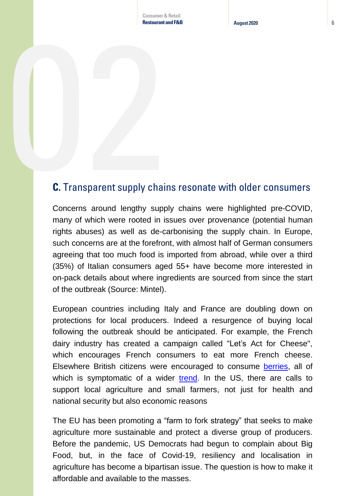### **C.** Transparent supply chains resonate with older consumers

Concerns around lengthy supply chains were highlighted pre-COVID, many of which were rooted in issues over provenance (potential human rights abuses) as well as de-carbonising the supply chain. In Europe, such concerns are at the forefront, with almost half of German consumers agreeing that too much food is imported from abroad, while over a third (35%) of Italian consumers aged 55+ have become more interested in on-pack details about where ingredients are sourced from since the start of the outbreak (Source: Mintel).

European countries including Italy and France are doubling down on protections for local producers. Indeed a resurgence of buying local following the outbreak should be anticipated. For example, the French dairy industry has created a campaign called "Let's Act for Cheese", which encourages French consumers to eat more French cheese. Elsewhere British citizens were encouraged to consume [berries](https://www.ft.com/content/9685c33c-e060-40f0-a3b2-aad0266d3922), all of which is symptomatic of a wider [trend.](https://www.ft.com/content/b94b85cf-1321-4ec8-aae5-22a128440eba) In the US, there are calls to support local agriculture and small farmers, not just for health and national security but also economic reasons

The EU has been promoting a "farm to fork strategy" that seeks to make agriculture more sustainable and protect a diverse group of producers. Before the pandemic, US Democrats had begun to complain about Big Food, but, in the face of Covid-19, resiliency and localisation in agriculture has become a bipartisan issue. The question is how to make it affordable and available to the masses.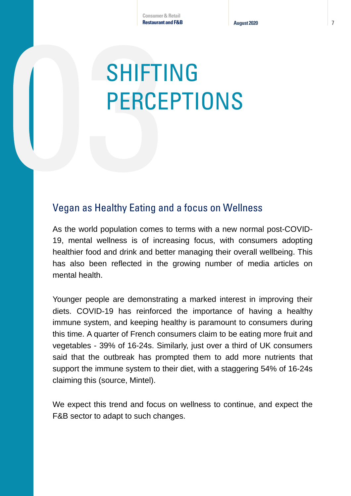## SHIFTING PERCEPTIONS

### Vegan as Healthy Eating and a focus on Wellness

As the world population comes to terms with a new normal post-COVID-19, mental wellness is of increasing focus, with consumers adopting healthier food and drink and better managing their overall wellbeing. This has also been reflected in the growing number of media articles on mental health.

Younger people are demonstrating a marked interest in improving their diets. COVID-19 has reinforced the importance of having a healthy immune system, and keeping healthy is paramount to consumers during this time. A quarter of French consumers claim to be eating more fruit and vegetables - 39% of 16-24s. Similarly, just over a third of UK consumers said that the outbreak has prompted them to add more nutrients that support the immune system to their diet, with a staggering 54% of 16-24s claiming this (source, Mintel).

We expect this trend and focus on wellness to continue, and expect the F&B sector to adapt to such changes.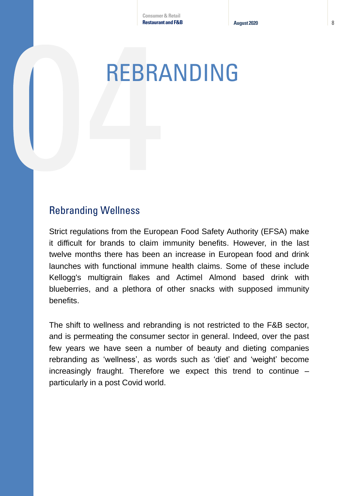### REBRANDING

### Rebranding Wellness

Strict regulations from the European Food Safety Authority (EFSA) make it difficult for brands to claim immunity benefits. However, in the last twelve months there has been an increase in European food and drink launches with functional immune health claims. Some of these include Kellogg's multigrain flakes and Actimel Almond based drink with blueberries, and a plethora of other snacks with supposed immunity benefits.

The shift to wellness and rebranding is not restricted to the F&B sector, and is permeating the consumer sector in general. Indeed, over the past few years we have seen a number of beauty and dieting companies rebranding as 'wellness', as words such as 'diet' and 'weight' become increasingly fraught. Therefore we expect this trend to continue – particularly in a post Covid world.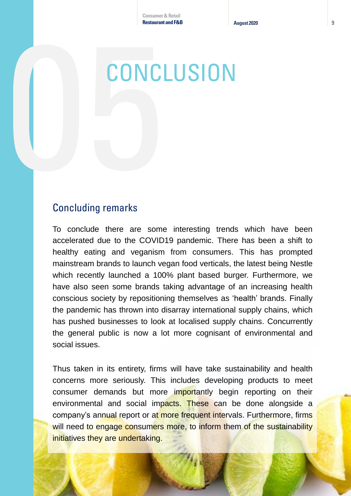### **CONCLUSION**

### Concluding remarks

To conclude there are some interesting trends which have been accelerated due to the COVID19 pandemic. There has been a shift to healthy eating and veganism from consumers. This has prompted mainstream brands to launch vegan food verticals, the latest being Nestle which recently launched a 100% plant based burger. Furthermore, we have also seen some brands taking advantage of an increasing health conscious society by repositioning themselves as 'health' brands. Finally the pandemic has thrown into disarray international supply chains, which has pushed businesses to look at localised supply chains. Concurrently the general public is now a lot more cognisant of environmental and social issues.

Thus taken in its entirety, firms will have take sustainability and health concerns more seriously. This includes developing products to meet consumer demands but more importantly begin reporting on their environmental and social impacts. These can be done alongside a company's annual report or at more frequent intervals. Furthermore, firms will need to engage consumers more, to inform them of the sustainability initiatives they are undertaking.